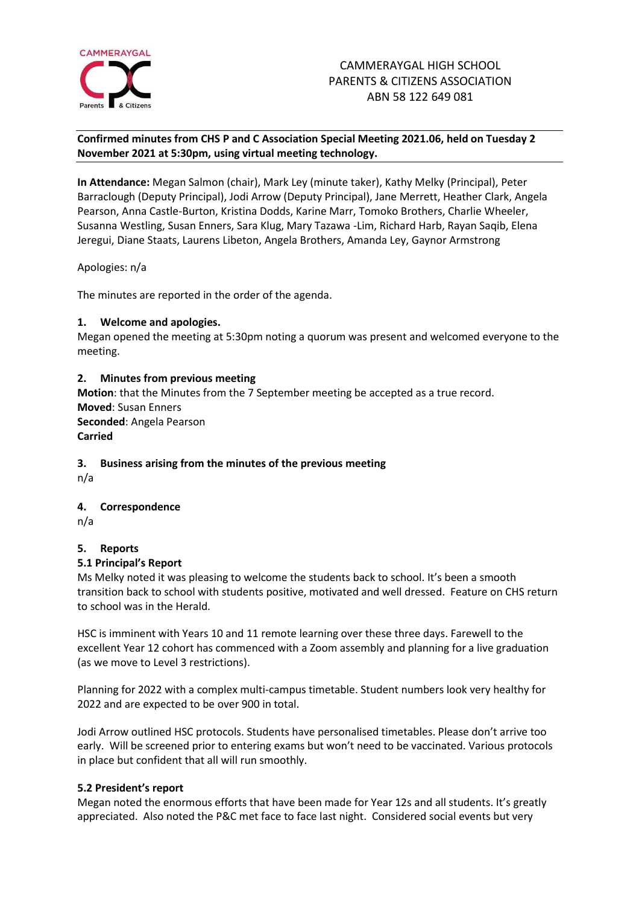

# **Confirmed minutes from CHS P and C Association Special Meeting 2021.06, held on Tuesday 2 November 2021 at 5:30pm, using virtual meeting technology.**

**In Attendance:** Megan Salmon (chair), Mark Ley (minute taker), Kathy Melky (Principal), Peter Barraclough (Deputy Principal), Jodi Arrow (Deputy Principal), Jane Merrett, Heather Clark, Angela Pearson, Anna Castle-Burton, Kristina Dodds, Karine Marr, Tomoko Brothers, Charlie Wheeler, Susanna Westling, Susan Enners, Sara Klug, Mary Tazawa -Lim, Richard Harb, Rayan Saqib, Elena Jeregui, Diane Staats, Laurens Libeton, Angela Brothers, Amanda Ley, Gaynor Armstrong

Apologies: n/a

The minutes are reported in the order of the agenda.

# **1. Welcome and apologies.**

Megan opened the meeting at 5:30pm noting a quorum was present and welcomed everyone to the meeting.

# **2. Minutes from previous meeting**

**Motion**: that the Minutes from the 7 September meeting be accepted as a true record. **Moved**: Susan Enners **Seconded**: Angela Pearson **Carried**

## **3. Business arising from the minutes of the previous meeting**

n/a

# **4. Correspondence**

n/a

# **5. Reports**

## **5.1 Principal's Report**

Ms Melky noted it was pleasing to welcome the students back to school. It's been a smooth transition back to school with students positive, motivated and well dressed. Feature on CHS return to school was in the Herald.

HSC is imminent with Years 10 and 11 remote learning over these three days. Farewell to the excellent Year 12 cohort has commenced with a Zoom assembly and planning for a live graduation (as we move to Level 3 restrictions).

Planning for 2022 with a complex multi-campus timetable. Student numbers look very healthy for 2022 and are expected to be over 900 in total.

Jodi Arrow outlined HSC protocols. Students have personalised timetables. Please don't arrive too early. Will be screened prior to entering exams but won't need to be vaccinated. Various protocols in place but confident that all will run smoothly.

## **5.2 President's report**

Megan noted the enormous efforts that have been made for Year 12s and all students. It's greatly appreciated. Also noted the P&C met face to face last night. Considered social events but very